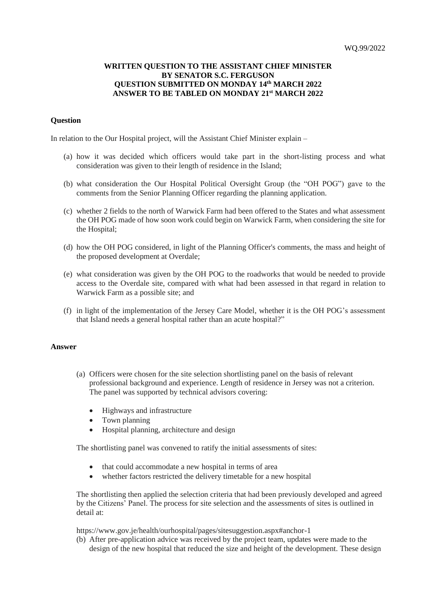## **WRITTEN QUESTION TO THE ASSISTANT CHIEF MINISTER BY SENATOR S.C. FERGUSON QUESTION SUBMITTED ON MONDAY 14th MARCH 2022 ANSWER TO BE TABLED ON MONDAY 21st MARCH 2022**

## **Question**

In relation to the Our Hospital project, will the Assistant Chief Minister explain –

- (a) how it was decided which officers would take part in the short-listing process and what consideration was given to their length of residence in the Island;
- (b) what consideration the Our Hospital Political Oversight Group (the "OH POG") gave to the comments from the Senior Planning Officer regarding the planning application.
- (c) whether 2 fields to the north of Warwick Farm had been offered to the States and what assessment the OH POG made of how soon work could begin on Warwick Farm, when considering the site for the Hospital;
- (d) how the OH POG considered, in light of the Planning Officer's comments, the mass and height of the proposed development at Overdale;
- (e) what consideration was given by the OH POG to the roadworks that would be needed to provide access to the Overdale site, compared with what had been assessed in that regard in relation to Warwick Farm as a possible site; and
- (f) in light of the implementation of the Jersey Care Model, whether it is the OH POG's assessment that Island needs a general hospital rather than an acute hospital?"

## **Answer**

- (a) Officers were chosen for the site selection shortlisting panel on the basis of relevant professional background and experience. Length of residence in Jersey was not a criterion. The panel was supported by technical advisors covering:
	- Highways and infrastructure
	- Town planning
	- Hospital planning, architecture and design

The shortlisting panel was convened to ratify the initial assessments of sites:

- that could accommodate a new hospital in terms of area
- whether factors restricted the delivery timetable for a new hospital

The shortlisting then applied the selection criteria that had been previously developed and agreed by the Citizens' Panel. The process for site selection and the assessments of sites is outlined in detail at:

<https://www.gov.je/health/ourhospital/pages/sitesuggestion.aspx#anchor-1>

(b) After pre-application advice was received by the project team, updates were made to the design of the new hospital that reduced the size and height of the development. These design